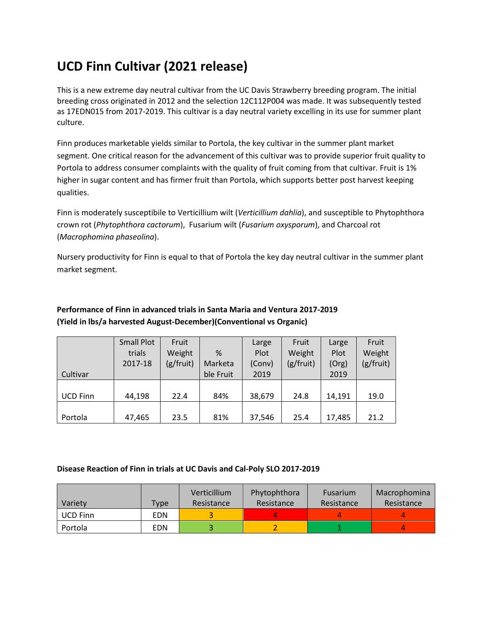## **UCD Finn Cultivar (2021 release)**

This is a new extreme day neutral cultivar from the UC Davis Strawberry breeding program. The initial breeding cross originated in 2012 and the selection 12C112P004 was made. It was subsequently tested as 17EDN015 from 2017-2019. This cultivar is a day neutral variety excelling in its use for summer plant culture.

Finn produces marketable yields similar to Portola, the key cultivar in the summer plant market segment. One critical reason for the advancement of this cultivar was to provide superior fruit quality to Portola to address consumer complaints with the quality of fruit coming from that cultivar. Fruit is 1% higher in sugar content and has firmer fruit than Portola, which supports better post harvest keeping qualities.

Finn is moderately susceptibile to Verticillium wilt (*Verticillium dahlia*), and susceptible to Phytophthora crown rot (*Phytophthora cactorum*), Fusarium wilt (*Fusarium oxysporum*), and Charcoal rot (*Macrophomina phaseolina*).

Nursery productivity for Finn is equal to that of Portola the key day neutral cultivar in the summer plant market segment.

|                 | <b>Small Plot</b> | Fruit     |           | Large  | Fruit     | Large  | Fruit     |
|-----------------|-------------------|-----------|-----------|--------|-----------|--------|-----------|
|                 | trials            | Weight    | %         | Plot   | Weight    | Plot   | Weight    |
|                 | 2017-18           | (g/fruit) | Marketa   | (Conv) | (g/fruit) | (Org)  | (g/fruit) |
| Cultivar        |                   |           | ble Fruit | 2019   |           | 2019   |           |
|                 |                   |           |           |        |           |        |           |
| <b>UCD Finn</b> | 44,198            | 22.4      | 84%       | 38,679 | 24.8      | 14.191 | 19.0      |
|                 |                   |           |           |        |           |        |           |
| Portola         | 47,465            | 23.5      | 81%       | 37,546 | 25.4      | 17,485 | 21.2      |

## **Performance of Finn in advanced trials in Santa Maria and Ventura 2017-2019 (Yield in lbs/a harvested August-December)(Conventional vs Organic)**

## **Disease Reaction of Finn in trials at UC Davis and Cal-Poly SLO 2017-2019**

|                 |            | Verticillium | Phytophthora | <b>Fusarium</b> | Macrophomina |
|-----------------|------------|--------------|--------------|-----------------|--------------|
| Variety         | Type       | Resistance   | Resistance   | Resistance      | Resistance   |
| <b>UCD Finn</b> | <b>EDN</b> |              |              |                 |              |
| Portola         | EDN        |              |              |                 |              |